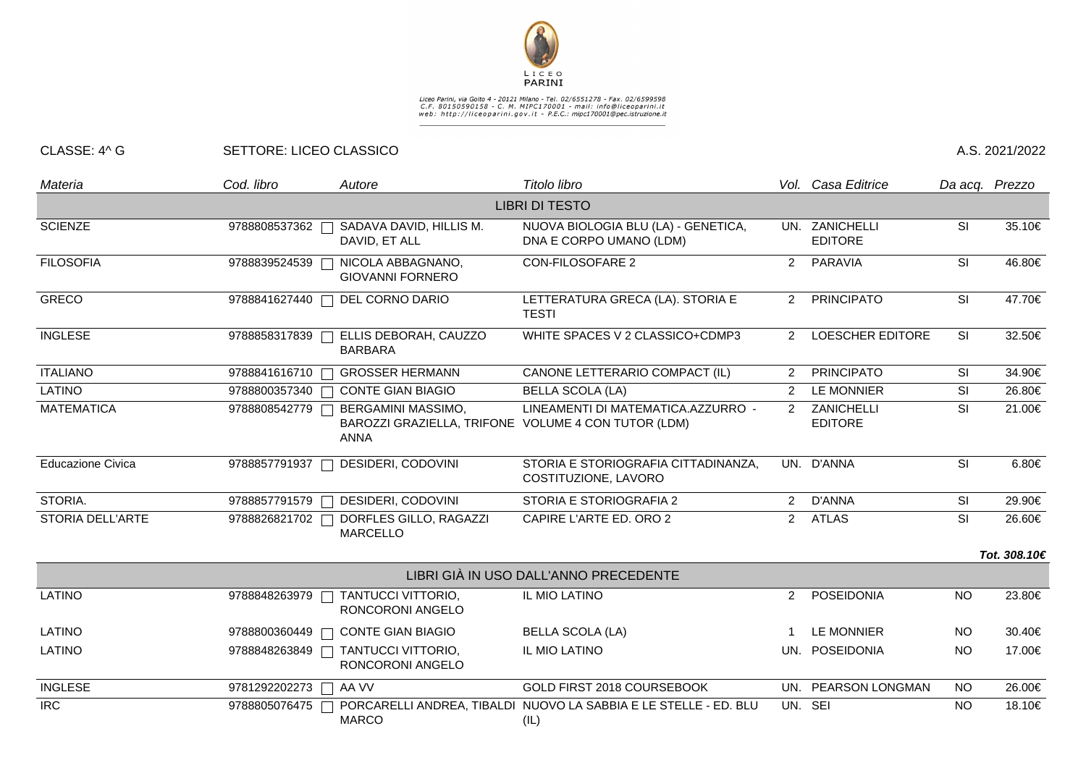

## Liceo Parini, via Goito 4 - 20121 Milano - Tel. 02/6551278 - Fax. 02/6599598<br>C.F. 80150590158 - C. M. MIPC170001 - mail: info@liceoparini.it<br>web: http://liceoparini.gov.it - P.E.C.: mipc170001@pec.istruzione.it

## CLASSE: 4^ G SETTORE: LICEO CLASSICO A.S. 2021/2022

| Materia                  | Cod. libro              | Autore                                                                                          | Titolo libro                                                                             |                      | Vol. Casa Editrice               | Da acq. Prezzo           |              |
|--------------------------|-------------------------|-------------------------------------------------------------------------------------------------|------------------------------------------------------------------------------------------|----------------------|----------------------------------|--------------------------|--------------|
|                          |                         |                                                                                                 | <b>LIBRI DI TESTO</b>                                                                    |                      |                                  |                          |              |
| <b>SCIENZE</b>           | 9788808537362           | SADAVA DAVID, HILLIS M.<br>DAVID, ET ALL                                                        | NUOVA BIOLOGIA BLU (LA) - GENETICA,<br>DNA E CORPO UMANO (LDM)                           |                      | UN. ZANICHELLI<br><b>EDITORE</b> | <b>SI</b>                | 35.10€       |
| <b>FILOSOFIA</b>         | 9788839524539           | NICOLA ABBAGNANO,<br><b>GIOVANNI FORNERO</b>                                                    | <b>CON-FILOSOFARE 2</b>                                                                  | $\overline{2}$       | PARAVIA                          | SI                       | 46.80€       |
| <b>GRECO</b>             | 9788841627440           | DEL CORNO DARIO                                                                                 | LETTERATURA GRECA (LA). STORIA E<br><b>TESTI</b>                                         | 2                    | <b>PRINCIPATO</b>                | SI                       | 47.70€       |
| <b>INGLESE</b>           | 9788858317839           | ELLIS DEBORAH, CAUZZO<br><b>BARBARA</b>                                                         | WHITE SPACES V 2 CLASSICO+CDMP3                                                          | $\mathbf{2}^{\circ}$ | <b>LOESCHER EDITORE</b>          | <b>SI</b>                | 32.50€       |
| <b>ITALIANO</b>          | 9788841616710           | <b>GROSSER HERMANN</b>                                                                          | CANONE LETTERARIO COMPACT (IL)                                                           | 2                    | <b>PRINCIPATO</b>                | <b>SI</b>                | 34.90€       |
| <b>LATINO</b>            |                         | 9788800357340 □ CONTE GIAN BIAGIO                                                               | <b>BELLA SCOLA (LA)</b>                                                                  | 2                    | <b>LE MONNIER</b>                | SI                       | 26.80€       |
| <b>MATEMATICA</b>        | 9788808542779           | <b>BERGAMINI MASSIMO,</b><br>BAROZZI GRAZIELLA, TRIFONE VOLUME 4 CON TUTOR (LDM)<br><b>ANNA</b> | LINEAMENTI DI MATEMATICA.AZZURRO -                                                       |                      | 2 ZANICHELLI<br><b>EDITORE</b>   | SI                       | 21.00€       |
| <b>Educazione Civica</b> | 9788857791937           | DESIDERI, CODOVINI                                                                              | STORIA E STORIOGRAFIA CITTADINANZA,<br>COSTITUZIONE, LAVORO                              |                      | UN. D'ANNA                       | $\overline{\mathsf{SI}}$ | 6.80€        |
| STORIA.                  | 9788857791579<br>$\Box$ | DESIDERI, CODOVINI                                                                              | STORIA E STORIOGRAFIA 2                                                                  | 2                    | D'ANNA                           | SI                       | 29.90€       |
| <b>STORIA DELL'ARTE</b>  | 9788826821702           | DORFLES GILLO, RAGAZZI<br><b>MARCELLO</b>                                                       | CAPIRE L'ARTE ED. ORO 2                                                                  | $\overline{2}$       | <b>ATLAS</b>                     | SI                       | 26.60€       |
|                          |                         |                                                                                                 |                                                                                          |                      |                                  |                          | Tot. 308.10€ |
|                          |                         |                                                                                                 | LIBRI GIÀ IN USO DALL'ANNO PRECEDENTE                                                    |                      |                                  |                          |              |
| <b>LATINO</b>            | 9788848263979           | TANTUCCI VITTORIO,<br>RONCORONI ANGELO                                                          | IL MIO LATINO                                                                            | 2                    | POSEIDONIA                       | <b>NO</b>                | 23.80€       |
| <b>LATINO</b>            | 9788800360449           | <b>CONTE GIAN BIAGIO</b>                                                                        | <b>BELLA SCOLA (LA)</b>                                                                  |                      | <b>LE MONNIER</b>                | <b>NO</b>                | 30.40€       |
| <b>LATINO</b>            | 9788848263849           | TANTUCCI VITTORIO,<br>RONCORONI ANGELO                                                          | IL MIO LATINO                                                                            |                      | UN. POSEIDONIA                   | <b>NO</b>                | 17.00€       |
| <b>INGLESE</b>           | 9781292202273 □ AA VV   |                                                                                                 | GOLD FIRST 2018 COURSEBOOK                                                               |                      | UN. PEARSON LONGMAN              | <b>NO</b>                | 26.00€       |
| <b>IRC</b>               |                         | <b>MARCO</b>                                                                                    | 9788805076475 □ PORCARELLI ANDREA, TIBALDI NUOVO LA SABBIA E LE STELLE - ED. BLU<br>(IL) |                      | UN. SEI                          | <b>NO</b>                | 18.10€       |